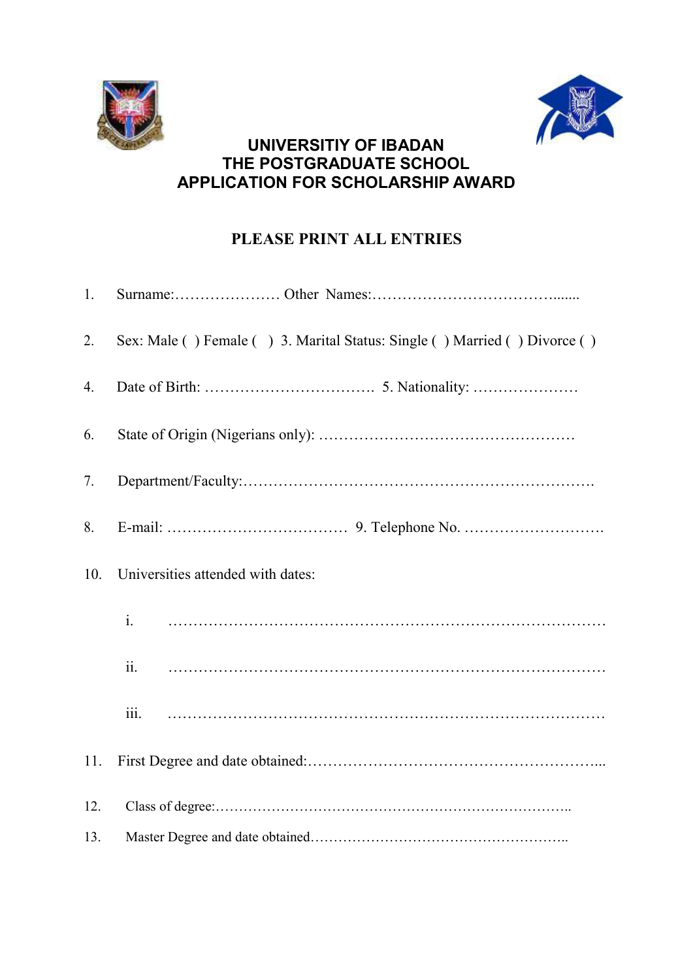



## **UNIVERSITIY OF IBADAN THE POSTGRADUATE SCHOOL APPLICATION FOR SCHOLARSHIP AWARD**

## **PLEASE PRINT ALL ENTRIES**

| 1.  |                                                                           |
|-----|---------------------------------------------------------------------------|
| 2.  | Sex: Male () Female () 3. Marital Status: Single () Married () Divorce () |
| 4.  |                                                                           |
| 6.  |                                                                           |
| 7.  |                                                                           |
| 8.  |                                                                           |
| 10. | Universities attended with dates:                                         |
|     | $\mathbf{i}$ .                                                            |
|     |                                                                           |
|     |                                                                           |
| 11. |                                                                           |
| 12. |                                                                           |
| 13. |                                                                           |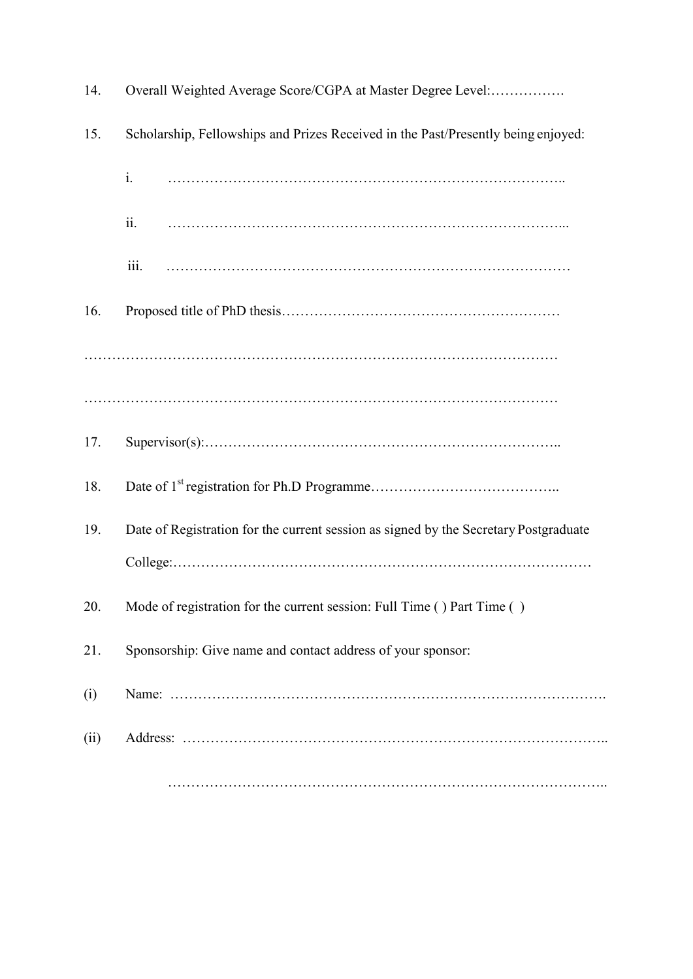| 14.  | Overall Weighted Average Score/CGPA at Master Degree Level:                          |
|------|--------------------------------------------------------------------------------------|
| 15.  | Scholarship, Fellowships and Prizes Received in the Past/Presently being enjoyed:    |
|      | i.                                                                                   |
|      | ii.                                                                                  |
|      | iii.                                                                                 |
| 16.  |                                                                                      |
|      |                                                                                      |
|      |                                                                                      |
| 17.  |                                                                                      |
| 18.  |                                                                                      |
| 19.  | Date of Registration for the current session as signed by the Secretary Postgraduate |
|      |                                                                                      |
| 20.  | Mode of registration for the current session: Full Time () Part Time ()              |
| 21.  | Sponsorship: Give name and contact address of your sponsor:                          |
| (i)  |                                                                                      |
| (ii) |                                                                                      |
|      |                                                                                      |